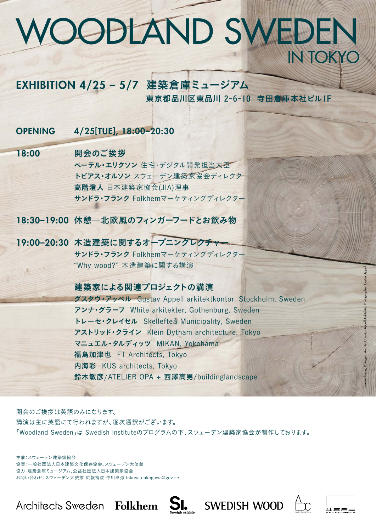# WOODLAND SWEDEN in Tokyo

## EXHIBITION 4/25 – 5/7 建築倉庫ミュージアム

東京都品川区東品川 2-6-10 寺田倉庫本社ビル1F

OPENING 4/25[TUE], 18:00–20:30

## 18:00 開会のご挨拶

19:00-20:30 木造建築に関するオープニングレクチャ サンドラ・フランク Folkhemマーケティングディレクター "Why wood?" 木造建築に関する講演

ペーテル・エリクソン 住宅・デジタル開発担当大臣 トビアス・オルソン スウェーデン建築家協会ディレクター 高階澄人 日本建築家協会(JIA)理事 サンドラ・フランク Folkhemマーケティングディレクター

18:30–19:00 休憩―北欧風のフィンガーフードとお飲み物

## 建築家による関連プロジェクトの講演

グスタヴ・アッペル Gustav Appell arkitektkontor, Stockholm, Sweden アンナ・グラーフ White arkitekter, Gothenburg, Sweden トレーセ・クレイセル Skellefteå Municipality, Sweden アストリッド・クライン Klein Dytham architecture, Tokyo マニュエル・タルディッツ MIKAN, Yokohama 福島加津也 FT Architects, Tokyo 内海彩 KUS architects, Tokyo 鈴木敏彦/ATELIER OPA + 西澤高男/buildinglandscape

開会のご挨拶は英語のみになります。

講演は主に英語にて行われますが、逐次通訳がございます。

「Woodland Sweden」は Swedish Instituteのプログラムの下、スウェーデン建築家協会が制作しております。

主催:スウェーデン建築家協会 協賛:一般社団法人日本建築文化保存協会、スウェーデン大使館 協力:建築倉庫ミュージアム、公益社団法人日本建築家協会 お問い合わせ:スウェーデン大使館 広報補佐 中川卓弥 takuya.nakagawa@gov.se

**SI.** SWEDISH WOOD Architects Sweden Folkhem

Timber house, Roslagen.

Architect: Gustav

Appell

Arkitekter. Photographer: Gustav

Appell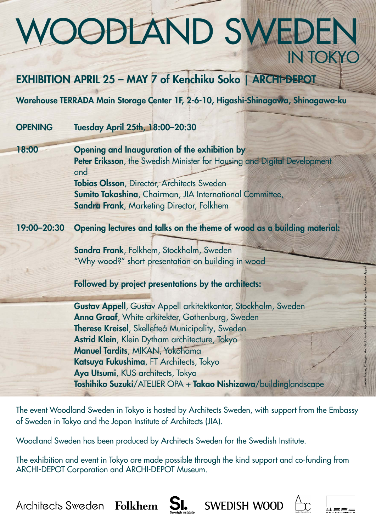# WOODLAND SWEDEN in Tokyo

## EXHIBITION April 25 – may 7 of Kenchiku Soko | ARCHI-DEPOT

Warehouse TERRADA Main Storage Center 1F, 2-6-10, Higashi-Shinagawa, Shinagawa-ku

## OPENING Tuesday April 25th, 18:00–20:30

18:00 Opening and Inauguration of the exhibition by Peter Eriksson, the Swedish Minister for Housing and Digital Development and Tobias Olsson, Director, Architects Sweden Sumito Takashina, Chairman, JIA International Committee, Sandra Frank, Marketing Director, Folkhem

## 19:00–20:30 Opening lectures and talks on the theme of wood as a building material:

Sandra Frank, Folkhem, Stockholm, Sweden "Why wood?" short presentation on building in wood

### Followed by project presentations by the architects:

Gustav Appell, Gustav Appell arkitektkontor, Stockholm, Sweden Anna Graaf, White arkitekter, Gothenburg, Sweden Therese Kreisel, Skellefteå Municipality, Sweden Astrid Klein, Klein Dytham architecture, Tokyo Manuel Tardits, MIKAN, Yokohama Katsuya Fukushima, FT Architects, Tokyo Aya Utsumi, KUS architects, Tokyo Toshihiko Suzuki/ATELIER OPA + Takao Nishizawa/buildinglandscape

The event Woodland Sweden in Tokyo is hosted by Architects Sweden, with support from the Embassy of Sweden in Tokyo and the Japan Institute of Architects (JIA).

Woodland Sweden has been produced by Architects Sweden for the Swedish Institute.

The exhibition and event in Tokyo are made possible through the kind support and co-funding from ARCHI-DEPOT Corporation and ARCHI-DEPOT Museum.

Architects Sweden Folkhem  $\operatorname{SL}_\bullet$  SWEDISH WOOD  $\bigoplus_{\text{Cov}(G)\text{ is a non-odd}}$ 

Timber house, Roslagen.

Architect: Gustav

Appell

Arkitekter. Photographer: Gustav

Appell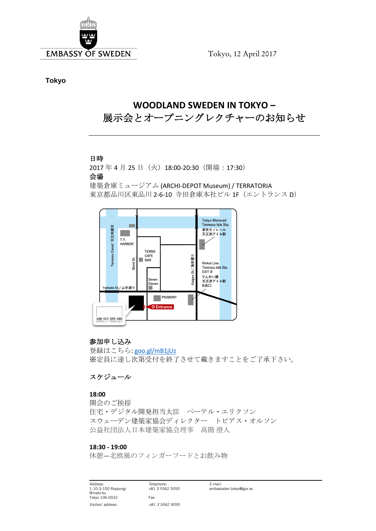

Tokyo, 12 April 2017

**Tokyo**

### **WOODLAND SWEDEN IN TOKYO –** 展示会とオープニングレクチャーのお知らせ

#### 日時

2017年4月25日 (火) 18:00-20:30 (開場:17:30) 会場

建築倉庫ミュージアム (ARCHI-DEPOT Museum) / TERRATORIA 東京都品川区東品川 2-6-10 寺田倉庫本社ビル 1F(エントランス D)



#### 参加申し込み

登録はこちら: [goo.gl/mB1jUz](http://www.goo.gl/mB1jUz) ※定員に達し次第受付を終了させて戴きますことをご了承下さい。

#### スケジュール

#### **18:00**

開会のご挨拶 住宅・デジタル開発担当大臣 ペーテル・エリクソン スウェーデン建築家協会ディレクター トビアス・オルソン 公益社団法人日本建築家協会理事 高階 澄人

#### **18:30 - 19:00**

休憩―北欧風のフィンガーフードとお飲み物

*Address: Telephone: E-mail:* Minato-ku Tokyo 106-0032 Fax: *Visitors' address: +81 3 5562 9095*

ambassaden.tokyo@gov.se